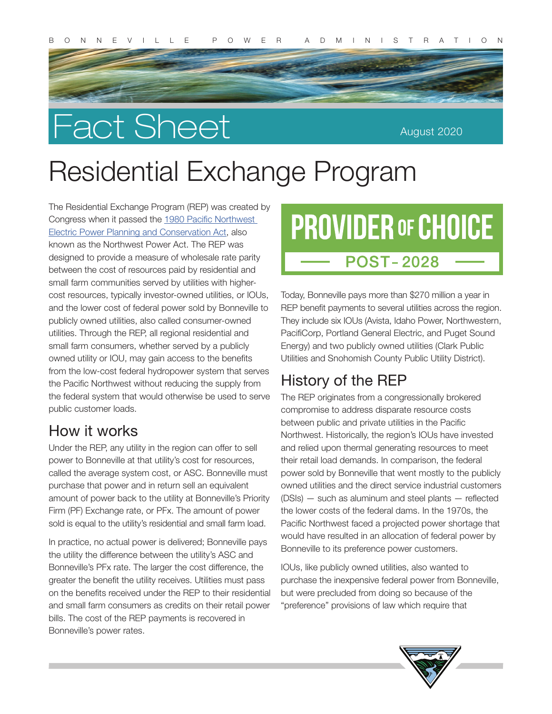# Fact Sheet

August 2020

## Residential Exchange Program

The Residential Exchange Program (REP) was created by Congress when it passed the [1980 Pacific Northwest](https://www.bpa.gov/news/pubs/GeneralPublications/gi-BPA-Statutes.pdf)  [Electric Power Planning and Conservation Act](https://www.bpa.gov/news/pubs/GeneralPublications/gi-BPA-Statutes.pdf), also known as the Northwest Power Act. The REP was designed to provide a measure of wholesale rate parity between the cost of resources paid by residential and small farm communities served by utilities with highercost resources, typically investor-owned utilities, or IOUs, and the lower cost of federal power sold by Bonneville to publicly owned utilities, also called consumer-owned utilities. Through the REP, all regional residential and small farm consumers, whether served by a publicly owned utility or IOU, may gain access to the benefits from the low-cost federal hydropower system that serves the Pacific Northwest without reducing the supply from the federal system that would otherwise be used to serve public customer loads.

#### How it works

Under the REP, any utility in the region can offer to sell power to Bonneville at that utility's cost for resources, called the average system cost, or ASC. Bonneville must purchase that power and in return sell an equivalent amount of power back to the utility at Bonneville's Priority Firm (PF) Exchange rate, or PFx. The amount of power sold is equal to the utility's residential and small farm load.

In practice, no actual power is delivered; Bonneville pays the utility the difference between the utility's ASC and Bonneville's PFx rate. The larger the cost difference, the greater the benefit the utility receives. Utilities must pass on the benefits received under the REP to their residential and small farm consumers as credits on their retail power bills. The cost of the REP payments is recovered in Bonneville's power rates.

## **PROVIDER OF CHOICE POST-2028**

Today, Bonneville pays more than \$270 million a year in REP benefit payments to several utilities across the region. They include six IOUs (Avista, Idaho Power, Northwestern, PacifiCorp, Portland General Electric, and Puget Sound Energy) and two publicly owned utilities (Clark Public Utilities and Snohomish County Public Utility District).

### History of the REP

The REP originates from a congressionally brokered compromise to address disparate resource costs between public and private utilities in the Pacific Northwest. Historically, the region's IOUs have invested and relied upon thermal generating resources to meet their retail load demands. In comparison, the federal power sold by Bonneville that went mostly to the publicly owned utilities and the direct service industrial customers (DSIs) — such as aluminum and steel plants — reflected the lower costs of the federal dams. In the 1970s, the Pacific Northwest faced a projected power shortage that would have resulted in an allocation of federal power by Bonneville to its preference power customers.

IOUs, like publicly owned utilities, also wanted to purchase the inexpensive federal power from Bonneville, but were precluded from doing so because of the "preference" provisions of law which require that